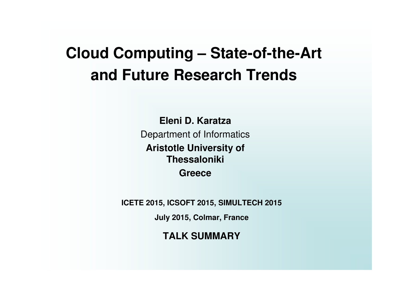# **Cloud Computing – State-of-the-Art and Future Research Trends**

**Eleni D. Karatza**Department of Informatics**Aristotle University of ThessalonikiGreece**

**ICETE 2015, ICSOFT 2015, SIMULTECH 2015** 

**July 2015, Colmar, France**

**TALK SUMMARY**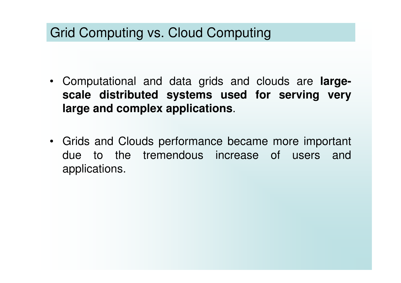## Grid Computing vs. Cloud Computing

- Computational and data grids and clouds are **largescale distributed systems used for serving very large and complex applications**.
- Grids and Clouds performance became more important due to the tremendous increase of users and applications.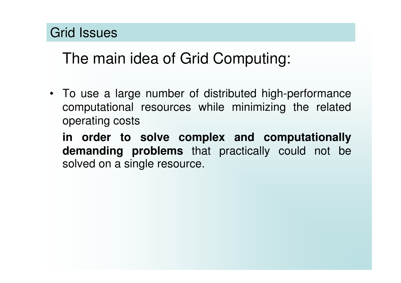### Grid Issues

# The main idea of Grid Computing:

• To use a large number of distributed high-performance computational resources while minimizing the related operating costs

**in order to solve complex and computationally demanding problems** that practically could not be solved on a single resource.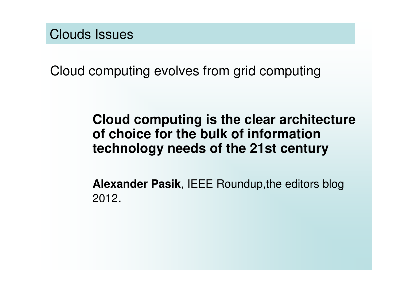Clouds Issues

Cloud computing evolves from grid computing

#### **Cloud computing is the clear architecture of choice for the bulk of information technology needs of the 21st century**

**Alexander Pasik**, IEEE Roundup,the editors blog 2012.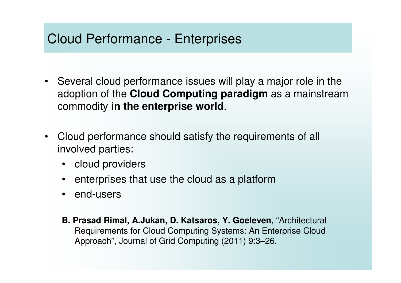### Cloud Performance - Enterprises

- Several cloud performance issues will play a major role in the adoption of the **Cloud Computing paradigm** as a mainstream commodity **in the enterprise world**.
- • Cloud performance should satisfy the requirements of all involved parties:
	- cloud providers
	- •enterprises that use the cloud as a platform
	- •end-users
	- **B. Prasad Rimal, A.Jukan, D. Katsaros, Y. Goeleven**, "Architectural Requirements for Cloud Computing Systems: An Enterprise Cloud Approach", Journal of Grid Computing (2011) 9:3–26.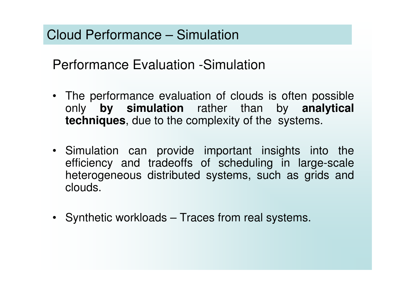Cloud Performance – Simulation

Performance Evaluation -Simulation

- The performance evaluation of clouds is often possible only **by simulation** rather than by **analytical techniques**, due to the complexity of the systems.
- Simulation can provide important insights into the efficiency and tradeoffs of scheduling in large-scale heterogeneous distributed systems, such as grids and clouds.
- Synthetic workloads Traces from real systems.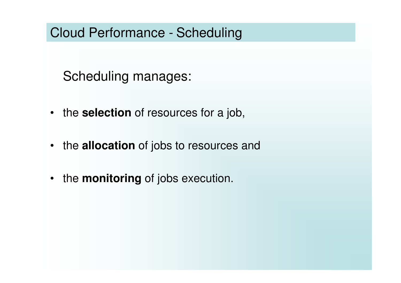### Cloud Performance - Scheduling

Scheduling manages:

- the **selection** of resources for a job,
- the **allocation** of jobs to resources and
- the **monitoring** of jobs execution.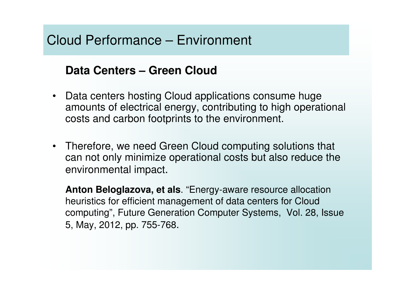### Cloud Performance – Environment

#### **Data Centers – Green Cloud**

- Data centers hosting Cloud applications consume huge amounts of electrical energy, contributing to high operational costs and carbon footprints to the environment.
- Therefore, we need Green Cloud computing solutions that can not only minimize operational costs but also reduce the environmental impact.

**Anton Beloglazova, et als**. "Energy-aware resource allocation heuristics for efficient management of data centers for Cloud computing", Future Generation Computer Systems, Vol. 28, Issue 5, May, 2012, pp. 755-768.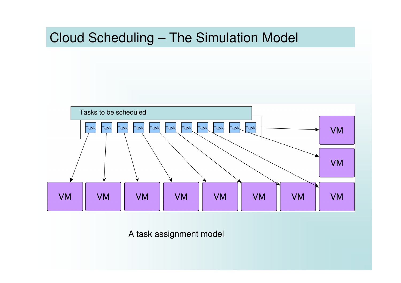### Cloud Scheduling – The Simulation Model



A task assignment model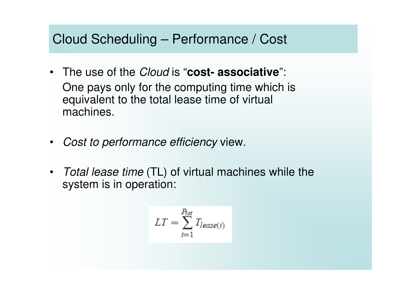#### Cloud Scheduling – Performance / Cost

- The use of the Cloud is "**cost- associative**": One pays only for the computing time which is equivalent to the total lease time of virtual machines.
- $\bullet$ Cost to performance efficiency view.
- *Total lease time* (TL) of virtual machines while the system is in operation:

$$
LT = \sum_{i=1}^{P_{tot}} T_{lease(i)}
$$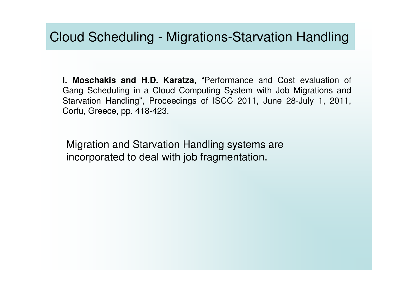#### Cloud Scheduling - Migrations-Starvation Handling

**I. Moschakis and H.D. Karatza**, "Performance and Cost evaluation of Gang Scheduling in a Cloud Computing System with Job Migrations and Starvation Handling", Proceedings of ISCC 2011, June 28-July 1, 2011, Corfu, Greece, pp. 418-423.

Migration and Starvation Handling systems areincorporated to deal with job fragmentation.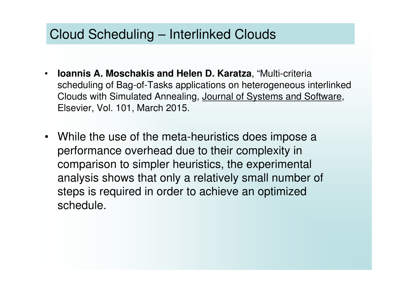### Cloud Scheduling – Interlinked Clouds

- • **Ioannis A. Moschakis and Helen D. Karatza**, "Multi-criteria scheduling of Bag-of-Tasks applications on heterogeneous interlinked Clouds with Simulated Annealing, Journal of Systems and Software, Elsevier, Vol. 101, March 2015.
- While the use of the meta-heuristics does impose aperformance overhead due to their complexity in comparison to simpler heuristics, the experimental analysis shows that only a relatively small number of steps is required in order to achieve an optimized schedule.